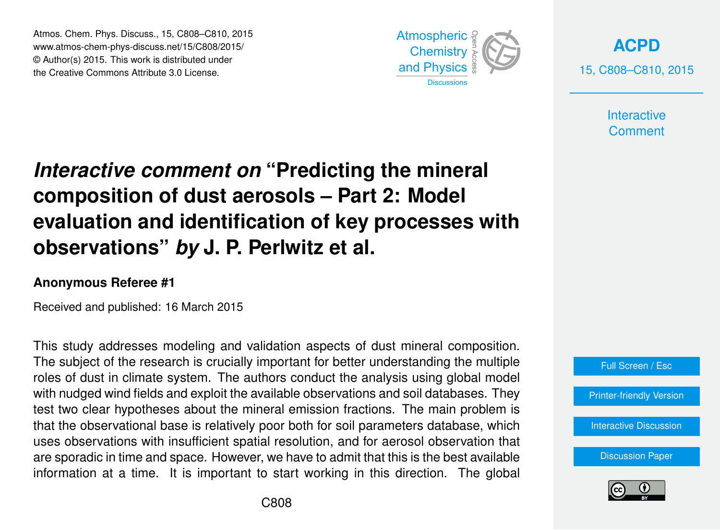Atmos. Chem. Phys. Discuss., 15, C808–C810, 2015 www.atmos-chem-phys-discuss.net/15/C808/2015/ © Author(s) 2015. This work is distributed under the Creative Commons Attribute 3.0 License.



**[ACPD](http://www.atmos-chem-phys-discuss.net)** 15, C808–C810, 2015

> **Interactive Comment**

## *Interactive comment on* **"Predicting the mineral composition of dust aerosols – Part 2: Model evaluation and identification of key processes with observations"** *by* **J. P. Perlwitz et al.**

## **Anonymous Referee #1**

Received and published: 16 March 2015

This study addresses modeling and validation aspects of dust mineral composition. The subject of the research is crucially important for better understanding the multiple roles of dust in climate system. The authors conduct the analysis using global model with nudged wind fields and exploit the available observations and soil databases. They test two clear hypotheses about the mineral emission fractions. The main problem is that the observational base is relatively poor both for soil parameters database, which uses observations with insufficient spatial resolution, and for aerosol observation that are sporadic in time and space. However, we have to admit that this is the best available information at a time. It is important to start working in this direction. The global



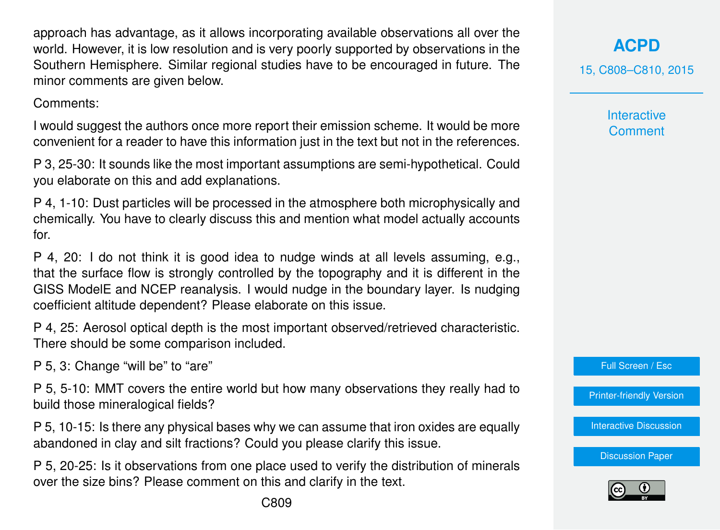approach has advantage, as it allows incorporating available observations all over the world. However, it is low resolution and is very poorly supported by observations in the Southern Hemisphere. Similar regional studies have to be encouraged in future. The minor comments are given below.

Comments:

I would suggest the authors once more report their emission scheme. It would be more convenient for a reader to have this information just in the text but not in the references.

P 3, 25-30: It sounds like the most important assumptions are semi-hypothetical. Could you elaborate on this and add explanations.

P 4, 1-10: Dust particles will be processed in the atmosphere both microphysically and chemically. You have to clearly discuss this and mention what model actually accounts for.

P 4, 20: I do not think it is good idea to nudge winds at all levels assuming, e.g., that the surface flow is strongly controlled by the topography and it is different in the GISS ModelE and NCEP reanalysis. I would nudge in the boundary layer. Is nudging coefficient altitude dependent? Please elaborate on this issue.

P 4, 25: Aerosol optical depth is the most important observed/retrieved characteristic. There should be some comparison included.

P 5, 3: Change "will be" to "are"

P 5, 5-10: MMT covers the entire world but how many observations they really had to build those mineralogical fields?

P 5, 10-15: Is there any physical bases why we can assume that iron oxides are equally abandoned in clay and silt fractions? Could you please clarify this issue.

P 5, 20-25: Is it observations from one place used to verify the distribution of minerals over the size bins? Please comment on this and clarify in the text.

**[ACPD](http://www.atmos-chem-phys-discuss.net)**

15, C808–C810, 2015

**Interactive Comment** 

Full Screen / Esc

[Printer-friendly Version](http://www.atmos-chem-phys-discuss.net/15/C808/2015/acpd-15-C808-2015-print.pdf)

[Interactive Discussion](http://www.atmos-chem-phys-discuss.net/15/3577/2015/acpd-15-3577-2015-discussion.html)

[Discussion Paper](http://www.atmos-chem-phys-discuss.net/15/3577/2015/acpd-15-3577-2015.pdf)